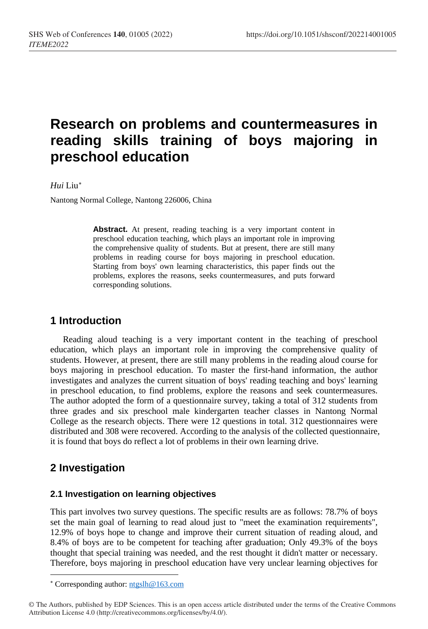# **Research on problems and countermeasures in reading skills training of boys majoring in preschool education**

#### *Hui* Liu[∗](#page-0-0)

Nantong Normal College, Nantong 226006, China

Abstract. At present, reading teaching is a very important content in preschool education teaching, which plays an important role in improving the comprehensive quality of students. But at present, there are still many problems in reading course for boys majoring in preschool education. Starting from boys' own learning characteristics, this paper finds out the problems, explores the reasons, seeks countermeasures, and puts forward corresponding solutions.

# **1 Introduction**

Reading aloud teaching is a very important content in the teaching of preschool education, which plays an important role in improving the comprehensive quality of students. However, at present, there are still many problems in the reading aloud course for boys majoring in preschool education. To master the first-hand information, the author investigates and analyzes the current situation of boys' reading teaching and boys' learning in preschool education, to find problems, explore the reasons and seek countermeasures. The author adopted the form of a questionnaire survey, taking a total of 312 students from three grades and six preschool male kindergarten teacher classes in Nantong Normal College as the research objects. There were 12 questions in total. 312 questionnaires were distributed and 308 were recovered. According to the analysis of the collected questionnaire, it is found that boys do reflect a lot of problems in their own learning drive.

# **2 Investigation**

 $\overline{a}$ 

#### **2.1 Investigation on learning objectives**

This part involves two survey questions. The specific results are as follows: 78.7% of boys set the main goal of learning to read aloud just to "meet the examination requirements", 12.9% of boys hope to change and improve their current situation of reading aloud, and 8.4% of boys are to be competent for teaching after graduation; Only 49.3% of the boys thought that special training was needed, and the rest thought it didn't matter or necessary. Therefore, boys majoring in preschool education have very unclear learning objectives for

<sup>∗</sup> Corresponding author: [ntgslh@163.com](mailto:ntgslh@163.com)

<span id="page-0-0"></span><sup>©</sup> The Authors, published by EDP Sciences. This is an open access article distributed under the terms of the Creative Commons Attribution License 4.0 (http://creativecommons.org/licenses/by/4.0/).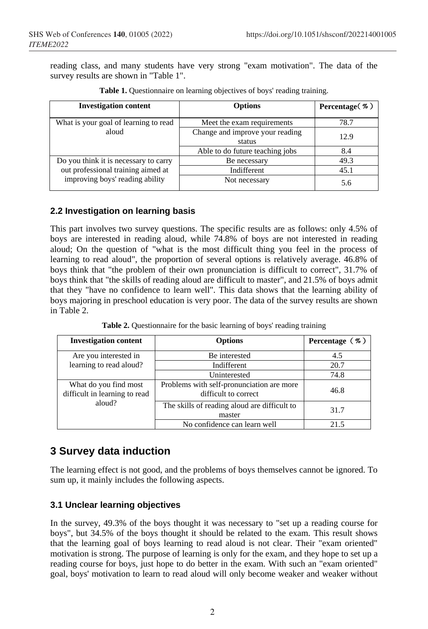reading class, and many students have very strong "exam motivation". The data of the survey results are shown in "Table 1".

| <b>Investigation content</b>          | <b>Options</b>                            | Percentage $(\% )$ |
|---------------------------------------|-------------------------------------------|--------------------|
| What is your goal of learning to read | Meet the exam requirements                | 78.7               |
| aloud                                 | Change and improve your reading<br>status | 12.9               |
|                                       | Able to do future teaching jobs           | 8.4                |
| Do you think it is necessary to carry | Be necessary                              | 49.3               |
| out professional training aimed at    | Indifferent                               | 45.1               |
| improving boys' reading ability       | Not necessary                             | 5.6                |

**Table 1.** Ouestionnaire on learning objectives of boys' reading training.

### **2.2 Investigation on learning basis**

This part involves two survey questions. The specific results are as follows: only 4.5% of boys are interested in reading aloud, while 74.8% of boys are not interested in reading aloud; On the question of "what is the most difficult thing you feel in the process of learning to read aloud", the proportion of several options is relatively average. 46.8% of boys think that "the problem of their own pronunciation is difficult to correct", 31.7% of boys think that "the skills of reading aloud are difficult to master", and 21.5% of boys admit that they "have no confidence to learn well". This data shows that the learning ability of boys majoring in preschool education is very poor. The data of the survey results are shown in Table 2.

| <b>Investigation content</b>                           | <b>Options</b>                                                    | Percentage $(\% )$ |
|--------------------------------------------------------|-------------------------------------------------------------------|--------------------|
| Are you interested in                                  | Be interested                                                     | 4.5                |
| learning to read aloud?                                | Indifferent                                                       | 20.7               |
|                                                        | Uninterested                                                      | 74.8               |
| What do you find most<br>difficult in learning to read | Problems with self-pronunciation are more<br>difficult to correct | 46.8               |
| aloud?                                                 | The skills of reading aloud are difficult to<br>master            | 31.7               |
|                                                        | No confidence can learn well                                      | 21.5               |

Table 2. Questionnaire for the basic learning of boys' reading training

# **3 Survey data induction**

The learning effect is not good, and the problems of boys themselves cannot be ignored. To sum up, it mainly includes the following aspects.

### **3.1 Unclear learning objectives**

In the survey, 49.3% of the boys thought it was necessary to "set up a reading course for boys", but 34.5% of the boys thought it should be related to the exam. This result shows that the learning goal of boys learning to read aloud is not clear. Their "exam oriented" motivation is strong. The purpose of learning is only for the exam, and they hope to set up a reading course for boys, just hope to do better in the exam. With such an "exam oriented" goal, boys' motivation to learn to read aloud will only become weaker and weaker without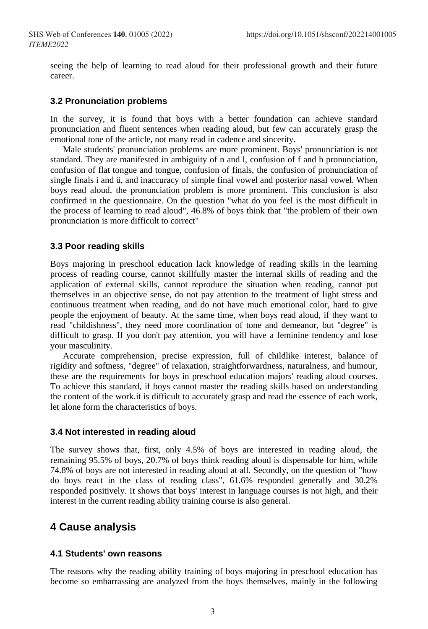seeing the help of learning to read aloud for their professional growth and their future career.

#### **3.2 Pronunciation problems**

In the survey, it is found that boys with a better foundation can achieve standard pronunciation and fluent sentences when reading aloud, but few can accurately grasp the emotional tone of the article, not many read in cadence and sincerity.

Male students' pronunciation problems are more prominent. Boys' pronunciation is not standard. They are manifested in ambiguity of n and l, confusion of f and h pronunciation, confusion of flat tongue and tongue, confusion of finals, the confusion of pronunciation of single finals i and ü, and inaccuracy of simple final vowel and posterior nasal vowel. When boys read aloud, the pronunciation problem is more prominent. This conclusion is also confirmed in the questionnaire. On the question "what do you feel is the most difficult in the process of learning to read aloud", 46.8% of boys think that "the problem of their own pronunciation is more difficult to correct"

#### **3.3 Poor reading skills**

Boys majoring in preschool education lack knowledge of reading skills in the learning process of reading course, cannot skillfully master the internal skills of reading and the application of external skills, cannot reproduce the situation when reading, cannot put themselves in an objective sense, do not pay attention to the treatment of light stress and continuous treatment when reading, and do not have much emotional color, hard to give people the enjoyment of beauty. At the same time, when boys read aloud, if they want to read "childishness", they need more coordination of tone and demeanor, but "degree" is difficult to grasp. If you don't pay attention, you will have a feminine tendency and lose your masculinity.

Accurate comprehension, precise expression, full of childlike interest, balance of rigidity and softness, "degree" of relaxation, straightforwardness, naturalness, and humour, these are the requirements for boys in preschool education majors' reading aloud courses. To achieve this standard, if boys cannot master the reading skills based on understanding the content of the work.it is difficult to accurately grasp and read the essence of each work, let alone form the characteristics of boys.

#### **3.4 Not interested in reading aloud**

The survey shows that, first, only 4.5% of boys are interested in reading aloud, the remaining 95.5% of boys, 20.7% of boys think reading aloud is dispensable for him, while 74.8% of boys are not interested in reading aloud at all. Secondly, on the question of "how do boys react in the class of reading class", 61.6% responded generally and 30.2% responded positively. It shows that boys' interest in language courses is not high, and their interest in the current reading ability training course is also general.

# **4 Cause analysis**

#### **4.1 Students' own reasons**

The reasons why the reading ability training of boys majoring in preschool education has become so embarrassing are analyzed from the boys themselves, mainly in the following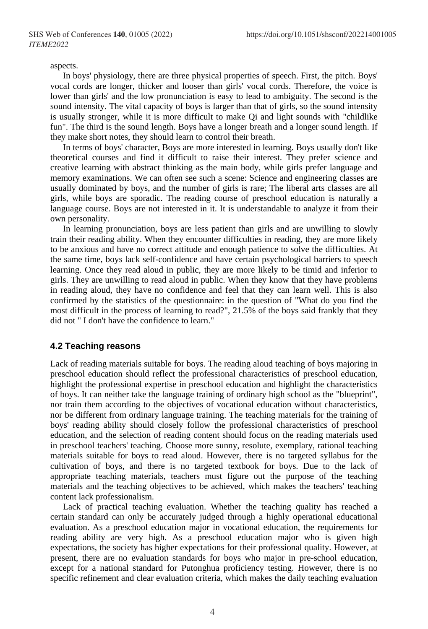aspects.

In boys' physiology, there are three physical properties of speech. First, the pitch. Boys' vocal cords are longer, thicker and looser than girls' vocal cords. Therefore, the voice is lower than girls' and the low pronunciation is easy to lead to ambiguity. The second is the sound intensity. The vital capacity of boys is larger than that of girls, so the sound intensity is usually stronger, while it is more difficult to make Qi and light sounds with "childlike fun". The third is the sound length. Boys have a longer breath and a longer sound length. If they make short notes, they should learn to control their breath.

In terms of boys' character, Boys are more interested in learning. Boys usually don't like theoretical courses and find it difficult to raise their interest. They prefer science and creative learning with abstract thinking as the main body, while girls prefer language and memory examinations. We can often see such a scene: Science and engineering classes are usually dominated by boys, and the number of girls is rare; The liberal arts classes are all girls, while boys are sporadic. The reading course of preschool education is naturally a language course. Boys are not interested in it. It is understandable to analyze it from their own personality.

In learning pronunciation, boys are less patient than girls and are unwilling to slowly train their reading ability. When they encounter difficulties in reading, they are more likely to be anxious and have no correct attitude and enough patience to solve the difficulties. At the same time, boys lack self-confidence and have certain psychological barriers to speech learning. Once they read aloud in public, they are more likely to be timid and inferior to girls. They are unwilling to read aloud in public. When they know that they have problems in reading aloud, they have no confidence and feel that they can learn well. This is also confirmed by the statistics of the questionnaire: in the question of "What do you find the most difficult in the process of learning to read?", 21.5% of the boys said frankly that they did not " I don't have the confidence to learn."

#### **4.2 Teaching reasons**

Lack of reading materials suitable for boys. The reading aloud teaching of boys majoring in preschool education should reflect the professional characteristics of preschool education, highlight the professional expertise in preschool education and highlight the characteristics of boys. It can neither take the language training of ordinary high school as the "blueprint", nor train them according to the objectives of vocational education without characteristics, nor be different from ordinary language training. The teaching materials for the training of boys' reading ability should closely follow the professional characteristics of preschool education, and the selection of reading content should focus on the reading materials used in preschool teachers' teaching. Choose more sunny, resolute, exemplary, rational teaching materials suitable for boys to read aloud. However, there is no targeted syllabus for the cultivation of boys, and there is no targeted textbook for boys. Due to the lack of appropriate teaching materials, teachers must figure out the purpose of the teaching materials and the teaching objectives to be achieved, which makes the teachers' teaching content lack professionalism.

Lack of practical teaching evaluation. Whether the teaching quality has reached a certain standard can only be accurately judged through a highly operational educational evaluation. As a preschool education major in vocational education, the requirements for reading ability are very high. As a preschool education major who is given high expectations, the society has higher expectations for their professional quality. However, at present, there are no evaluation standards for boys who major in pre-school education, except for a national standard for Putonghua proficiency testing. However, there is no specific refinement and clear evaluation criteria, which makes the daily teaching evaluation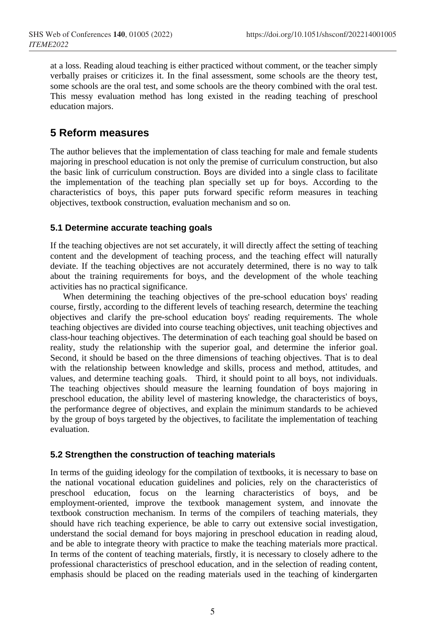at a loss. Reading aloud teaching is either practiced without comment, or the teacher simply verbally praises or criticizes it. In the final assessment, some schools are the theory test, some schools are the oral test, and some schools are the theory combined with the oral test. This messy evaluation method has long existed in the reading teaching of preschool education majors.

# **5 Reform measures**

The author believes that the implementation of class teaching for male and female students majoring in preschool education is not only the premise of curriculum construction, but also the basic link of curriculum construction. Boys are divided into a single class to facilitate the implementation of the teaching plan specially set up for boys. According to the characteristics of boys, this paper puts forward specific reform measures in teaching objectives, textbook construction, evaluation mechanism and so on.

### **5.1 Determine accurate teaching goals**

If the teaching objectives are not set accurately, it will directly affect the setting of teaching content and the development of teaching process, and the teaching effect will naturally deviate. If the teaching objectives are not accurately determined, there is no way to talk about the training requirements for boys, and the development of the whole teaching activities has no practical significance.

When determining the teaching objectives of the pre-school education boys' reading course, firstly, according to the different levels of teaching research, determine the teaching objectives and clarify the pre-school education boys' reading requirements. The whole teaching objectives are divided into course teaching objectives, unit teaching objectives and class-hour teaching objectives. The determination of each teaching goal should be based on reality, study the relationship with the superior goal, and determine the inferior goal. Second, it should be based on the three dimensions of teaching objectives. That is to deal with the relationship between knowledge and skills, process and method, attitudes, and values, and determine teaching goals. Third, it should point to all boys, not individuals. The teaching objectives should measure the learning foundation of boys majoring in preschool education, the ability level of mastering knowledge, the characteristics of boys, the performance degree of objectives, and explain the minimum standards to be achieved by the group of boys targeted by the objectives, to facilitate the implementation of teaching evaluation.

### **5.2 Strengthen the construction of teaching materials**

In terms of the guiding ideology for the compilation of textbooks, it is necessary to base on the national vocational education guidelines and policies, rely on the characteristics of preschool education, focus on the learning characteristics of boys, and be employment-oriented, improve the textbook management system, and innovate the textbook construction mechanism. In terms of the compilers of teaching materials, they should have rich teaching experience, be able to carry out extensive social investigation, understand the social demand for boys majoring in preschool education in reading aloud, and be able to integrate theory with practice to make the teaching materials more practical. In terms of the content of teaching materials, firstly, it is necessary to closely adhere to the professional characteristics of preschool education, and in the selection of reading content, emphasis should be placed on the reading materials used in the teaching of kindergarten